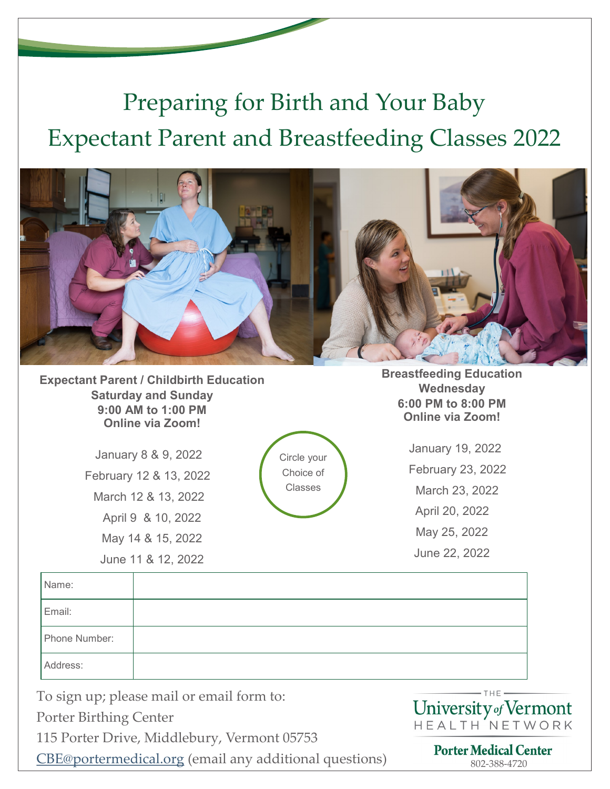## Preparing for Birth and Your Baby Expectant Parent and Breastfeeding Classes 2022



**Expectant Parent / Childbirth Education Saturday and Sunday 9:00 AM to 1:00 PM Online via Zoom!**

> January 8 & 9, 2022 February 12 & 13, 2022 March 12 & 13, 2022 April 9 & 10, 2022 May 14 & 15, 2022 June 11 & 12, 2022

Circle your Choice of Classes

**Breastfeeding Education Wednesday 6:00 PM to 8:00 PM Online via Zoom!**

> January 19, 2022 February 23, 2022 March 23, 2022 April 20, 2022 May 25, 2022 June 22, 2022

| Name:         |  |
|---------------|--|
| Email:        |  |
| Phone Number: |  |
| Address:      |  |

To sign up; please mail or email form to:

Porter Birthing Center

115 Porter Drive, Middlebury, Vermont 05753

**[CBE@portermedical.org](mailto:cbe@portermedical.org)** (email any additional questions) **Porter Medical Center**